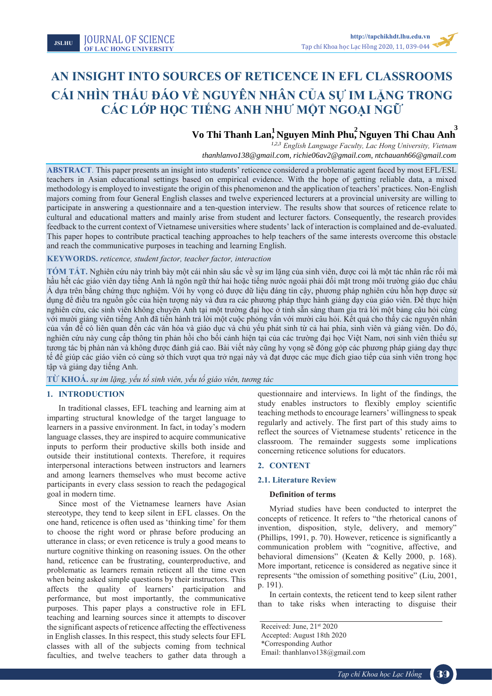Tạp chí Khoa học Lạc Hồng **20xx**, x, xx-zz

# **AN INSIGHT INTO SOURCES OF RETICENCE IN EFL CLASSROOMS CÁI NHÌN THẤU ĐÁO VỀ NGUYÊN NHÂN CỦA SỰ IM LẶNG TRONG CÁC LỚP HỌC TIẾNG ANH NHƯ MỘT NGOẠI NGỮ**

# $\mathbf{V}$   $\mathbf{V}$   $\mathbf{V}$   $\mathbf{F}$   $\mathbf{V}$   $\mathbf{V}$   $\mathbf{F}$   $\mathbf{V}$   $\mathbf{F}$   $\mathbf{V}$   $\mathbf{F}$   $\mathbf{V}$   $\mathbf{F}$   $\mathbf{V}$   $\mathbf{F}$   $\mathbf{V}$   $\mathbf{F}$   $\mathbf{V}$   $\mathbf{F}$   $\mathbf{V}$   $\mathbf{F}$   $\mathbf{V}$   $\mathbf{F}$   $\mathbf{V}$   $\mathbf{$ **13 Vo Thi Thanh Lan, Nguyen Minh Phu, Nguyen Thi Chau Anh**<br>
<sup>1,2,3</sup> *English Language Eaculty, Lac Hong University, Vietnam*

<sup>1,2,3</sup> English Language Faculty, Lac Hong University, Vietnam *thanhlanvo138@gmail.com, richie06av2@gmail.com, ntchauanh66@gmail.com* 

**ABSTRACT**. This paper presents an insight into students' reticence considered a problematic agent faced by most EFL/ESL teachers in Asian educational settings based on empirical evidence. With the hope of getting reliable data, a mixed methodology is employed to investigate the origin of this phenomenon and the application of teachers' practices. Non-English majors coming from four General English classes and twelve experienced lecturers at a provincial university are willing to participate in answering a questionnaire and a ten-question interview. The results show that sources of reticence relate to cultural and educational matters and mainly arise from student and lecturer factors. Consequently, the research provides feedback to the current context of Vietnamese universities where students' lack of interaction is complained and de-evaluated. This paper hopes to contribute practical teaching approaches to help teachers of the same interests overcome this obstacle and reach the communicative purposes in teaching and learning English.

# **KEYWORDS.** *reticence, student factor, teacher factor, interaction*

**TÓM TẮT.** Nghiên cứu này trình bày một cái nhìn sâu sắc về sự im lặng của sinh viên, được coi là một tác nhân rắc rối mà hầu hết các giáo viên dạy tiếng Anh là ngôn ngữ thứ hai hoặc tiếng nước ngoài phải đối mặt trong môi trường giáo dục châu Á dựa trên bằng chứng thực nghiệm. Với hy vọng có được dữ liệu đáng tin cậy, phương pháp nghiên cứu hỗn hợp được sử dụng để điều tra nguồn gốc của hiện tượng này và đưa ra các phương pháp thực hành giảng dạy của giáo viên. Để thực hiện nghiên cứu, các sinh viên không chuyên Anh tại một trường đại học ở tỉnh sẵn sàng tham gia trả lời một bảng câu hỏi cùng với mười giảng viên tiếng Anh đã tiến hành trả lời một cuộc phỏng vấn với mười câu hỏi. Kết quả cho thấy các nguyên nhân của vấn đế có liên quan đến các văn hóa và giáo dục và chủ yếu phát sinh từ cả hai phía, sinh viên và giảng viên. Do đó, nghiên cứu này cung cấp thông tin phản hồi cho bối cảnh hiện tại của các trường đại học Việt Nam, nơi sinh viên thiếu sự tương tác bị phàn nàn và không được đánh giá cao. Bài viết này cũng hy vọng sẽ đóng góp các phương pháp giảng dạy thực tế để giúp các giáo viên có cùng sở thích vượt qua trở ngại này và đạt được các mục đích giao tiếp của sinh viên trong học tập và giảng dạy tiếng Anh.

**TỪ KHOÁ.** *sự im lặng, yếu tố sinh viên, yếu tố giáo viên, tương tác*

# **1. INTRODUCTION**

In traditional classes, EFL teaching and learning aim at imparting structural knowledge of the target language to learners in a passive environment. In fact, in today's modern language classes, they are inspired to acquire communicative inputs to perform their productive skills both inside and outside their institutional contexts. Therefore, it requires interpersonal interactions between instructors and learners and among learners themselves who must become active participants in every class session to reach the pedagogical goal in modern time.

Since most of the Vietnamese learners have Asian stereotype, they tend to keep silent in EFL classes. On the one hand, reticence is often used as 'thinking time' for them to choose the right word or phrase before producing an utterance in class; or even reticence is truly a good means to nurture cognitive thinking on reasoning issues. On the other hand, reticence can be frustrating, counterproductive, and problematic as learners remain reticent all the time even when being asked simple questions by their instructors. This affects the quality of learners' participation and performance, but most importantly, the communicative purposes. This paper plays a constructive role in EFL teaching and learning sources since it attempts to discover the significant aspects of reticence affecting the effectiveness in English classes. In this respect, this study selects four EFL classes with all of the subjects coming from technical faculties, and twelve teachers to gather data through a

questionnaire and interviews. In light of the findings, the study enables instructors to flexibly employ scientific teaching methods to encourage learners' willingness to speak regularly and actively. The first part of this study aims to reflect the sources of Vietnamese students' reticence in the classroom. The remainder suggests some implications concerning reticence solutions for educators.

# **2. CONTENT**

## **2.1. Literature Review**

#### **Definition of terms**

Myriad studies have been conducted to interpret the concepts of reticence. It refers to "the rhetorical canons of invention, disposition, style, delivery, and memory" (Phillips, 1991, p. 70). However, reticence is significantly a communication problem with "cognitive, affective, and behavioral dimensions" (Keaten & Kelly 2000, p. 168). More important, reticence is considered as negative since it represents "the omission of something positive" (Liu, 2001, p. 191).

In certain contexts, the reticent tend to keep silent rather than to take risks when interacting to disguise their

Received: June, 21st 2020 Accepted: August 18th 2020 \*Corresponding Author Email: thanhlanvo138@gmail.com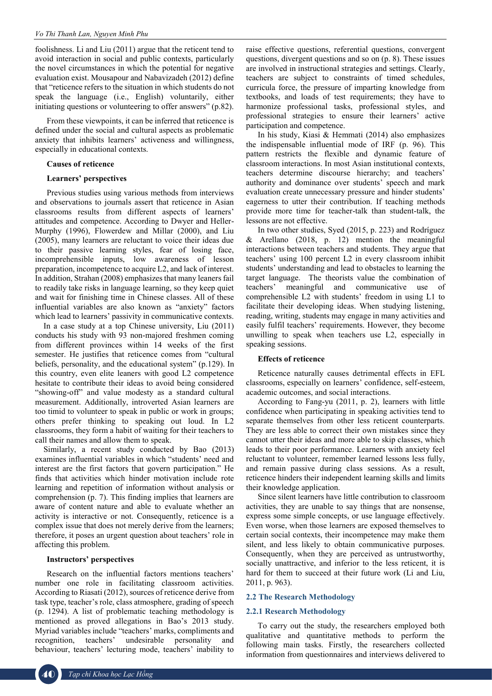foolishness. Li and Liu (2011) argue that the reticent tend to avoid interaction in social and public contexts, particularly the novel circumstances in which the potential for negative evaluation exist. Mousapour and Nabavizadeh (2012) define that "reticence refers to the situation in which students do not speak the language (i.e., English) voluntarily, either initiating questions or volunteering to offer answers" (p.82).

From these viewpoints, it can be inferred that reticence is defined under the social and cultural aspects as problematic anxiety that inhibits learners' activeness and willingness, especially in educational contexts.

#### **Causes of reticence**

# **Learners' perspectives**

Previous studies using various methods from interviews and observations to journals assert that reticence in Asian classrooms results from different aspects of learners' attitudes and competence. According to Dwyer and Heller-Murphy (1996), Flowerdew and Millar (2000), and Liu (2005), many learners are reluctant to voice their ideas due to their passive learning styles, fear of losing face, incomprehensible inputs, low awareness of lesson preparation, incompetence to acquire L2, and lack of interest. In addition, Strahan (2008) emphasizes that many leaners fail to readily take risks in language learning, so they keep quiet and wait for finishing time in Chinese classes. All of these influential variables are also known as "anxiety" factors which lead to learners' passivity in communicative contexts.

In a case study at a top Chinese university, Liu (2011) conducts his study with 93 non-majored freshmen coming from different provinces within 14 weeks of the first semester. He justifies that reticence comes from "cultural beliefs, personality, and the educational system" (p.129). In this country, even elite leaners with good L2 competence hesitate to contribute their ideas to avoid being considered "showing-off" and value modesty as a standard cultural measurement. Additionally, introverted Asian learners are too timid to volunteer to speak in public or work in groups; others prefer thinking to speaking out loud. In L2 classrooms, they form a habit of waiting for their teachers to call their names and allow them to speak.

Similarly, a recent study conducted by Bao (2013) examines influential variables in which "students' need and interest are the first factors that govern participation." He finds that activities which hinder motivation include rote learning and repetition of information without analysis or comprehension (p. 7). This finding implies that learners are aware of content nature and able to evaluate whether an activity is interactive or not. Consequently, reticence is a complex issue that does not merely derive from the learners; therefore, it poses an urgent question about teachers' role in affecting this problem.

#### **Instructors' perspectives**

Research on the influential factors mentions teachers' number one role in facilitating classroom activities. According to Riasati (2012), sources of reticence derive from task type, teacher's role, class atmosphere, grading of speech (p. 1294). A list of problematic teaching methodology is mentioned as proved allegations in Bao's 2013 study. Myriad variables include "teachers' marks, compliments and recognition, teachers' undesirable personality and behaviour, teachers' lecturing mode, teachers' inability to

raise effective questions, referential questions, convergent questions, divergent questions and so on (p. 8). These issues are involved in instructional strategies and settings. Clearly, teachers are subject to constraints of timed schedules, curricula force, the pressure of imparting knowledge from textbooks, and loads of test requirements; they have to harmonize professional tasks, professional styles, and professional strategies to ensure their learners' active participation and competence.

In his study, Kiasi & Hemmati (2014) also emphasizes the indispensable influential mode of IRF (p. 96). This pattern restricts the flexible and dynamic feature of classroom interactions. In most Asian institutional contexts, teachers determine discourse hierarchy; and teachers' authority and dominance over students' speech and mark evaluation create unnecessary pressure and hinder students' eagerness to utter their contribution. If teaching methods provide more time for teacher-talk than student-talk, the lessons are not effective.

In two other studies, Syed (2015, p. 223) and Rodríguez & Arellano (2018, p. 12) mention the meaningful interactions between teachers and students. They argue that teachers' using 100 percent L2 in every classroom inhibit students' understanding and lead to obstacles to learning the target language. The theorists value the combination of teachers' meaningful and communicative use of comprehensible L2 with students' freedom in using L1 to facilitate their developing ideas. When studying listening, reading, writing, students may engage in many activities and easily fulfil teachers' requirements. However, they become unwilling to speak when teachers use L2, especially in speaking sessions.

#### **Effects of reticence**

Reticence naturally causes detrimental effects in EFL classrooms, especially on learners' confidence, self-esteem, academic outcomes, and social interactions.

According to Fang-yu (2011, p. 2), learners with little confidence when participating in speaking activities tend to separate themselves from other less reticent counterparts. They are less able to correct their own mistakes since they cannot utter their ideas and more able to skip classes, which leads to their poor performance. Learners with anxiety feel reluctant to volunteer, remember learned lessons less fully, and remain passive during class sessions. As a result, reticence hinders their independent learning skills and limits their knowledge application.

Since silent learners have little contribution to classroom activities, they are unable to say things that are nonsense, express some simple concepts, or use language effectively. Even worse, when those learners are exposed themselves to certain social contexts, their incompetence may make them silent, and less likely to obtain communicative purposes. Consequently, when they are perceived as untrustworthy, socially unattractive, and inferior to the less reticent, it is hard for them to succeed at their future work (Li and Liu, 2011, p. 963).

#### **2.2 The Research Methodology**

# **2.2.1 Research Methodology**

To carry out the study, the researchers employed both qualitative and quantitative methods to perform the following main tasks. Firstly, the researchers collected information from questionnaires and interviews delivered to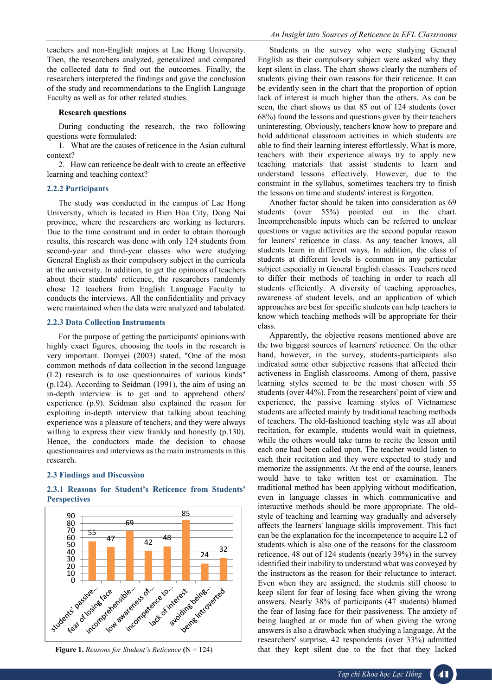#### **Research questions**

During conducting the research, the two following questions were formulated:

1. What are the causes of reticence in the Asian cultural context?

2. How can reticence be dealt with to create an effective learning and teaching context?

# **2.2.2 Participants**

The study was conducted in the campus of Lac Hong University, which is located in Bien Hoa City, Dong Nai province, where the researchers are working as lecturers. Due to the time constraint and in order to obtain thorough results, this research was done with only 124 students from second-year and third-year classes who were studying General English as their compulsory subject in the curricula at the university. In addition, to get the opinions of teachers about their students' reticence, the researchers randomly chose 12 teachers from English Language Faculty to conducts the interviews. All the confidentiality and privacy were maintained when the data were analyzed and tabulated.

#### **2.2.3 Data Collection Instruments**

For the purpose of getting the participants' opinions with highly exact figures, choosing the tools in the research is very important. Dornyei (2003) stated, "One of the most common methods of data collection in the second language (L2) research is to use questionnaires of various kinds" (p.124). According to Seidman (1991), the aim of using an in-depth interview is to get and to apprehend others' experience (p.9). Seidman also explained the reason for exploiting in-depth interview that talking about teaching experience was a pleasure of teachers, and they were always willing to express their view frankly and honestly (p.130). Hence, the conductors made the decision to choose questionnaires and interviews as the main instruments in this research.

# **2.3 Findings and Discussion**



# **2.3.1 Reasons for Student's Reticence from Students' Perspectives**

Students in the survey who were studying General English as their compulsory subject were asked why they kept silent in class. The chart shows clearly the numbers of students giving their own reasons for their reticence. It can be evidently seen in the chart that the proportion of option lack of interest is much higher than the others. As can be seen, the chart shows us that 85 out of 124 students (over 68%) found the lessons and questions given by their teachers uninteresting. Obviously, teachers know how to prepare and hold additional classroom activities in which students are able to find their learning interest effortlessly. What is more, teachers with their experience always try to apply new teaching materials that assist students to learn and understand lessons effectively. However, due to the constraint in the syllabus, sometimes teachers try to finish the lessons on time and students' interest is forgotten.

Another factor should be taken into consideration as 69 students (over 55%) pointed out in the chart. Incomprehensible inputs which can be referred to unclear questions or vague activities are the second popular reason for leaners' reticence in class. As any teacher knows, all students learn in different ways. In addition, the class of students at different levels is common in any particular subject especially in General English classes. Teachers need to differ their methods of teaching in order to reach all students efficiently. A diversity of teaching approaches, awareness of student levels, and an application of which approaches are best for specific students can help teachers to know which teaching methods will be appropriate for their class.

Apparently, the objective reasons mentioned above are the two biggest sources of learners' reticence. On the other hand, however, in the survey, students-participants also indicated some other subjective reasons that affected their activeness in English classrooms. Among of them, passive learning styles seemed to be the most chosen with 55 students (over 44%). From the researchers' point of view and experience, the passive learning styles of Vietnamese students are affected mainly by traditional teaching methods of teachers. The old-fashioned teaching style was all about recitation, for example, students would wait in quietness, while the others would take turns to recite the lesson until each one had been called upon. The teacher would listen to each their recitation and they were expected to study and memorize the assignments. At the end of the course, leaners would have to take written test or examination. The traditional method has been applying without modification, even in language classes in which communicative and interactive methods should be more appropriate. The oldstyle of teaching and learning way gradually and adversely affects the learners' language skills improvement. This fact can be the explanation for the incompetence to acquire L2 of students which is also one of the reasons for the classroom reticence. 48 out of 124 students (nearly 39%) in the survey identified their inability to understand what was conveyed by the instructors as the reason for their reluctance to interact. Even when they are assigned, the students still choose to keep silent for fear of losing face when giving the wrong answers. Nearly 38% of participants (47 students) blamed the fear of losing face for their passiveness. The anxiety of being laughed at or made fun of when giving the wrong answers is also a drawback when studying a language. At the researchers' surprise, 42 respondents (over 33%) admitted that they kept silent due to the fact that they lacked

**Figure 1.** *Reasons for Student's Reticence* **(**N = 124)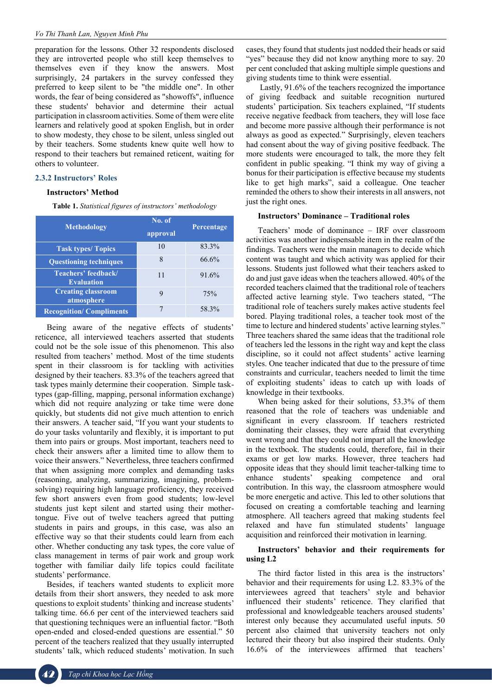preparation for the lessons. Other 32 respondents disclosed they are introverted people who still keep themselves to themselves even if they know the answers. Most surprisingly, 24 partakers in the survey confessed they preferred to keep silent to be "the middle one". In other words, the fear of being considered as "showoffs", influence these students' behavior and determine their actual participation in classroom activities. Some of them were elite learners and relatively good at spoken English, but in order to show modesty, they chose to be silent, unless singled out by their teachers. Some students knew quite well how to respond to their teachers but remained reticent, waiting for others to volunteer.

# **2.3.2 Instructors' Roles**

#### **Instructors' Method**

**Table 1.** *Statistical figures of instructors' methodology*

| <b>Methodology</b>                       | No. of<br>approval | Percentage |
|------------------------------------------|--------------------|------------|
| <b>Task types/ Topics</b>                | 10                 | 83.3%      |
| <b>Questioning techniques</b>            | 8                  | 66.6%      |
| Teachers' feedback/<br><b>Evaluation</b> | 11                 | 91.6%      |
| <b>Creating classroom</b><br>atmosphere  |                    | 75%        |
| <b>Recognition/Compliments</b>           |                    | 58.3%      |

Being aware of the negative effects of students' reticence, all interviewed teachers asserted that students could not be the sole issue of this phenomenon. This also resulted from teachers' method. Most of the time students spent in their classroom is for tackling with activities designed by their teachers. 83.3% of the teachers agreed that task types mainly determine their cooperation. Simple tasktypes (gap-filling, mapping, personal information exchange) which did not require analyzing or take time were done quickly, but students did not give much attention to enrich their answers. A teacher said, "If you want your students to do your tasks voluntarily and flexibly, it is important to put them into pairs or groups. Most important, teachers need to check their answers after a limited time to allow them to voice their answers." Nevertheless, three teachers confirmed that when assigning more complex and demanding tasks (reasoning, analyzing, summarizing, imagining, problemsolving) requiring high language proficiency, they received few short answers even from good students; low-level students just kept silent and started using their mothertongue. Five out of twelve teachers agreed that putting students in pairs and groups, in this case, was also an effective way so that their students could learn from each other. Whether conducting any task types, the core value of class management in terms of pair work and group work together with familiar daily life topics could facilitate students' performance.

Besides, if teachers wanted students to explicit more details from their short answers, they needed to ask more questions to exploit students' thinking and increase students' talking time. 66.6 per cent of the interviewed teachers said that questioning techniques were an influential factor. "Both open-ended and closed-ended questions are essential." 50 percent of the teachers realized that they usually interrupted students' talk, which reduced students' motivation. In such cases, they found that students just nodded their heads or said "yes" because they did not know anything more to say. 20 per cent concluded that asking multiple simple questions and giving students time to think were essential.

Lastly, 91.6% of the teachers recognized the importance of giving feedback and suitable recognition nurtured students' participation. Six teachers explained, "If students receive negative feedback from teachers, they will lose face and become more passive although their performance is not always as good as expected." Surprisingly, eleven teachers had consent about the way of giving positive feedback. The more students were encouraged to talk, the more they felt confident in public speaking. "I think my way of giving a bonus for their participation is effective because my students like to get high marks", said a colleague. One teacher reminded the others to show their interests in all answers, not just the right ones.

# **Instructors' Dominance – Traditional roles**

Teachers' mode of dominance – IRF over classroom activities was another indispensable item in the realm of the findings. Teachers were the main managers to decide which content was taught and which activity was applied for their lessons. Students just followed what their teachers asked to do and just gave ideas when the teachers allowed. 40% of the recorded teachers claimed that the traditional role of teachers affected active learning style. Two teachers stated, "The traditional role of teachers surely makes active students feel bored. Playing traditional roles, a teacher took most of the time to lecture and hindered students' active learning styles." Three teachers shared the same ideas that the traditional role of teachers led the lessons in the right way and kept the class discipline, so it could not affect students' active learning styles. One teacher indicated that due to the pressure of time constraints and curricular, teachers needed to limit the time of exploiting students' ideas to catch up with loads of knowledge in their textbooks.

When being asked for their solutions, 53.3% of them reasoned that the role of teachers was undeniable and significant in every classroom. If teachers restricted dominating their classes, they were afraid that everything went wrong and that they could not impart all the knowledge in the textbook. The students could, therefore, fail in their exams or get low marks. However, three teachers had opposite ideas that they should limit teacher-talking time to enhance students' speaking competence and oral contribution. In this way, the classroom atmosphere would be more energetic and active. This led to other solutions that focused on creating a comfortable teaching and learning atmosphere. All teachers agreed that making students feel relaxed and have fun stimulated students' language acquisition and reinforced their motivation in learning.

# **Instructors' behavior and their requirements for using L2**

The third factor listed in this area is the instructors' behavior and their requirements for using L2. 83.3% of the interviewees agreed that teachers' style and behavior influenced their students' reticence. They clarified that professional and knowledgeable teachers aroused students' interest only because they accumulated useful inputs. 50 percent also claimed that university teachers not only lectured their theory but also inspired their students. Only 16.6% of the interviewees affirmed that teachers'

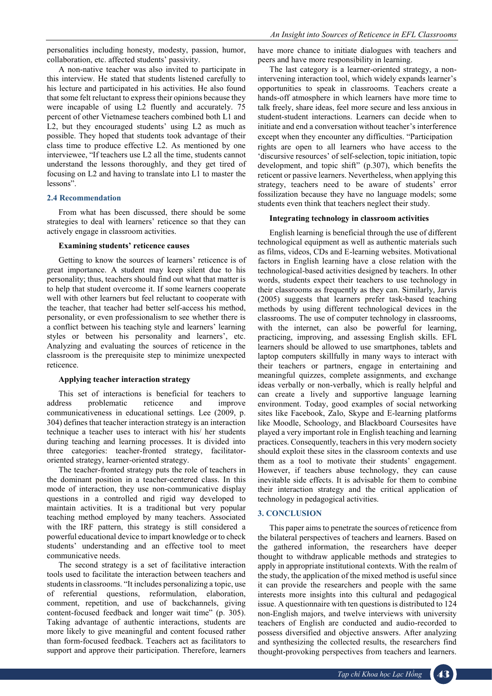personalities including honesty, modesty, passion, humor, collaboration, etc. affected students' passivity.

A non-native teacher was also invited to participate in this interview. He stated that students listened carefully to his lecture and participated in his activities. He also found that some felt reluctant to express their opinions because they were incapable of using L2 fluently and accurately. 75 percent of other Vietnamese teachers combined both L1 and L2, but they encouraged students' using L2 as much as possible. They hoped that students took advantage of their class time to produce effective L2. As mentioned by one interviewee, "If teachers use L2 all the time, students cannot understand the lessons thoroughly, and they get tired of focusing on L2 and having to translate into L1 to master the lessons".

# **2.4 Recommendation**

From what has been discussed, there should be some strategies to deal with learners' reticence so that they can actively engage in classroom activities.

#### **Examining students' reticence causes**

Getting to know the sources of learners' reticence is of great importance. A student may keep silent due to his personality; thus, teachers should find out what that matter is to help that student overcome it. If some learners cooperate well with other learners but feel reluctant to cooperate with the teacher, that teacher had better self-access his method, personality, or even professionalism to see whether there is a conflict between his teaching style and learners' learning styles or between his personality and learners', etc. Analyzing and evaluating the sources of reticence in the classroom is the prerequisite step to minimize unexpected reticence.

#### **Applying teacher interaction strategy**

This set of interactions is beneficial for teachers to address problematic reticence and improve communicativeness in educational settings. Lee (2009, p. 304) defines that teacher interaction strategy is an interaction technique a teacher uses to interact with his/ her students during teaching and learning processes. It is divided into three categories: teacher-fronted strategy, facilitatororiented strategy, learner-oriented strategy.

The teacher-fronted strategy puts the role of teachers in the dominant position in a teacher-centered class. In this mode of interaction, they use non-communicative display questions in a controlled and rigid way developed to maintain activities. It is a traditional but very popular teaching method employed by many teachers. Associated with the IRF pattern, this strategy is still considered a powerful educational device to impart knowledge or to check students' understanding and an effective tool to meet communicative needs.

The second strategy is a set of facilitative interaction tools used to facilitate the interaction between teachers and students in classrooms. "It includes personalizing a topic, use of referential questions, reformulation, elaboration, comment, repetition, and use of backchannels, giving content-focused feedback and longer wait time" (p. 305). Taking advantage of authentic interactions, students are more likely to give meaningful and content focused rather than form-focused feedback. Teachers act as facilitators to support and approve their participation. Therefore, learners have more chance to initiate dialogues with teachers and peers and have more responsibility in learning.

The last category is a learner-oriented strategy, a nonintervening interaction tool, which widely expands learner's opportunities to speak in classrooms. Teachers create a hands-off atmosphere in which learners have more time to talk freely, share ideas, feel more secure and less anxious in student-student interactions. Learners can decide when to initiate and end a conversation without teacher's interference except when they encounter any difficulties. "Participation rights are open to all learners who have access to the 'discursive resources' of self-selection, topic initiation, topic development, and topic shift" (p.307), which benefits the reticent or passive learners. Nevertheless, when applying this strategy, teachers need to be aware of students' error fossilization because they have no language models; some students even think that teachers neglect their study.

#### **Integrating technology in classroom activities**

English learning is beneficial through the use of different technological equipment as well as authentic materials such as films, videos, CDs and E-learning websites. Motivational factors in English learning have a close relation with the technological-based activities designed by teachers. In other words, students expect their teachers to use technology in their classrooms as frequently as they can. Similarly, Jarvis (2005) suggests that learners prefer task-based teaching methods by using different technological devices in the classrooms. The use of computer technology in classrooms, with the internet, can also be powerful for learning, practicing, improving, and assessing English skills. EFL learners should be allowed to use smartphones, tablets and laptop computers skillfully in many ways to interact with their teachers or partners, engage in entertaining and meaningful quizzes, complete assignments, and exchange ideas verbally or non-verbally, which is really helpful and can create a lively and supportive language learning environment. Today, good examples of social networking sites like Facebook, Zalo, Skype and E-learning platforms like Moodle, Schoology, and Blackboard Coursesites have played a very important role in English teaching and learning practices. Consequently, teachers in this very modern society should exploit these sites in the classroom contexts and use them as a tool to motivate their students' engagement. However, if teachers abuse technology, they can cause inevitable side effects. It is advisable for them to combine their interaction strategy and the critical application of technology in pedagogical activities.

# **3. CONCLUSION**

This paper aims to penetrate the sources of reticence from the bilateral perspectives of teachers and learners. Based on the gathered information, the researchers have deeper thought to withdraw applicable methods and strategies to apply in appropriate institutional contexts. With the realm of the study, the application of the mixed method is useful since it can provide the researchers and people with the same interests more insights into this cultural and pedagogical issue. A questionnaire with ten questions is distributed to 124 non-English majors, and twelve interviews with university teachers of English are conducted and audio-recorded to possess diversified and objective answers. After analyzing and synthesizing the collected results, the researchers find thought-provoking perspectives from teachers and learners.